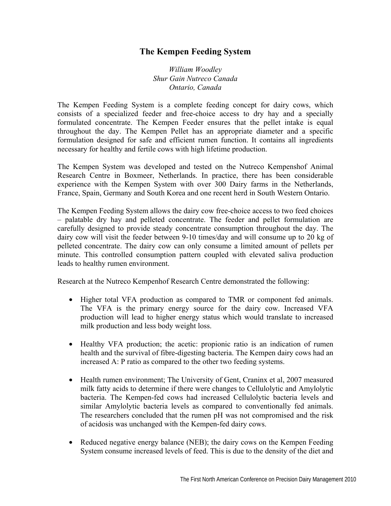## **The Kempen Feeding System**

*William Woodley Shur Gain Nutreco Canada Ontario, Canada* 

The Kempen Feeding System is a complete feeding concept for dairy cows, which consists of a specialized feeder and free-choice access to dry hay and a specially formulated concentrate. The Kempen Feeder ensures that the pellet intake is equal throughout the day. The Kempen Pellet has an appropriate diameter and a specific formulation designed for safe and efficient rumen function. It contains all ingredients necessary for healthy and fertile cows with high lifetime production.

The Kempen System was developed and tested on the Nutreco Kempenshof Animal Research Centre in Boxmeer, Netherlands. In practice, there has been considerable experience with the Kempen System with over 300 Dairy farms in the Netherlands, France, Spain, Germany and South Korea and one recent herd in South Western Ontario.

The Kempen Feeding System allows the dairy cow free-choice access to two feed choices – palatable dry hay and pelleted concentrate. The feeder and pellet formulation are carefully designed to provide steady concentrate consumption throughout the day. The dairy cow will visit the feeder between 9-10 times/day and will consume up to 20 kg of pelleted concentrate. The dairy cow can only consume a limited amount of pellets per minute. This controlled consumption pattern coupled with elevated saliva production leads to healthy rumen environment.

Research at the Nutreco Kempenhof Research Centre demonstrated the following:

- Higher total VFA production as compared to TMR or component fed animals. The VFA is the primary energy source for the dairy cow. Increased VFA production will lead to higher energy status which would translate to increased milk production and less body weight loss.
- Healthy VFA production; the acetic: propionic ratio is an indication of rumen health and the survival of fibre-digesting bacteria. The Kempen dairy cows had an increased A: P ratio as compared to the other two feeding systems.
- Health rumen environment; The University of Gent, Craninx et al, 2007 measured milk fatty acids to determine if there were changes to Cellulolytic and Amylolytic bacteria. The Kempen-fed cows had increased Cellulolytic bacteria levels and similar Amylolytic bacteria levels as compared to conventionally fed animals. The researchers concluded that the rumen pH was not compromised and the risk of acidosis was unchanged with the Kempen-fed dairy cows.
- Reduced negative energy balance (NEB); the dairy cows on the Kempen Feeding System consume increased levels of feed. This is due to the density of the diet and